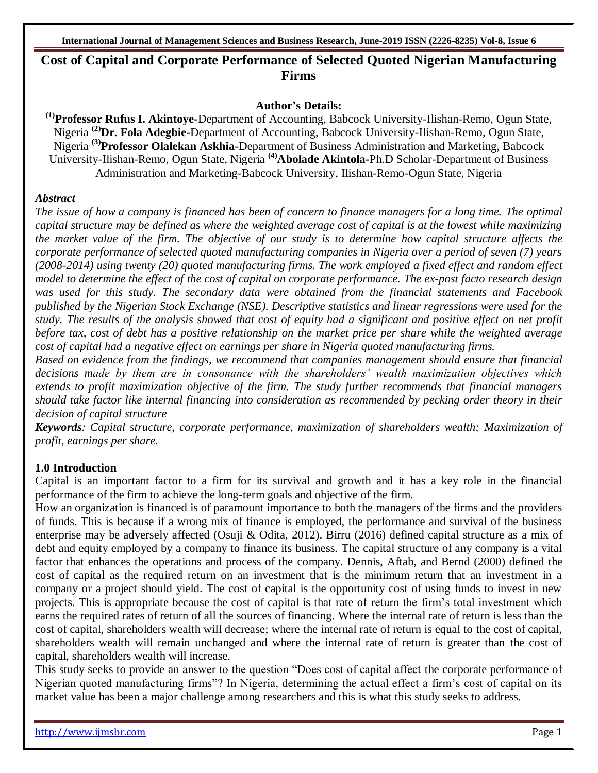# **Cost of Capital and Corporate Performance of Selected Quoted Nigerian Manufacturing Firms**

#### **Author's Details:**

**(1) Professor Rufus I. Akintoye-**Department of Accounting, Babcock University-Ilishan-Remo, Ogun State, Nigeria **(2)Dr. Fola Adegbie-**Department of Accounting, Babcock University-Ilishan-Remo, Ogun State, Nigeria **(3) Professor Olalekan Askhia-**Department of Business Administration and Marketing, Babcock University-Ilishan-Remo, Ogun State, Nigeria **(4)Abolade Akintola-**Ph.D Scholar-Department of Business Administration and Marketing-Babcock University, Ilishan-Remo-Ogun State, Nigeria

## *Abstract*

*The issue of how a company is financed has been of concern to finance managers for a long time. The optimal capital structure may be defined as where the weighted average cost of capital is at the lowest while maximizing the market value of the firm. The objective of our study is to determine how capital structure affects the corporate performance of selected quoted manufacturing companies in Nigeria over a period of seven (7) years (2008-2014) using twenty (20) quoted manufacturing firms. The work employed a fixed effect and random effect model to determine the effect of the cost of capital on corporate performance. The ex-post facto research design was used for this study. The secondary data were obtained from the financial statements and Facebook published by the Nigerian Stock Exchange (NSE). Descriptive statistics and linear regressions were used for the study. The results of the analysis showed that cost of equity had a significant and positive effect on net profit before tax, cost of debt has a positive relationship on the market price per share while the weighted average cost of capital had a negative effect on earnings per share in Nigeria quoted manufacturing firms.* 

*Based on evidence from the findings, we recommend that companies management should ensure that financial decisions made by them are in consonance with the shareholders' wealth maximization objectives which extends to profit maximization objective of the firm. The study further recommends that financial managers should take factor like internal financing into consideration as recommended by pecking order theory in their decision of capital structure*

*Keywords: Capital structure, corporate performance, maximization of shareholders wealth; Maximization of profit, earnings per share.* 

## **1.0 Introduction**

Capital is an important factor to a firm for its survival and growth and it has a key role in the financial performance of the firm to achieve the long-term goals and objective of the firm.

How an organization is financed is of paramount importance to both the managers of the firms and the providers of funds. This is because if a wrong mix of finance is employed, the performance and survival of the business enterprise may be adversely affected (Osuji & Odita, 2012). Birru (2016) defined capital structure as a mix of debt and equity employed by a company to finance its business. The capital structure of any company is a vital factor that enhances the operations and process of the company. Dennis, Aftab, and Bernd (2000) defined the cost of capital as the required return on an investment that is the minimum return that an investment in a company or a project should yield. The cost of capital is the opportunity cost of using funds to invest in new projects. This is appropriate because the cost of capital is that rate of return the firm's total investment which earns the required rates of return of all the sources of financing. Where the internal rate of return is less than the cost of capital, shareholders wealth will decrease; where the internal rate of return is equal to the cost of capital, shareholders wealth will remain unchanged and where the internal rate of return is greater than the cost of capital, shareholders wealth will increase.

This study seeks to provide an answer to the question "Does cost of capital affect the corporate performance of Nigerian quoted manufacturing firms"? In Nigeria, determining the actual effect a firm's cost of capital on its market value has been a major challenge among researchers and this is what this study seeks to address.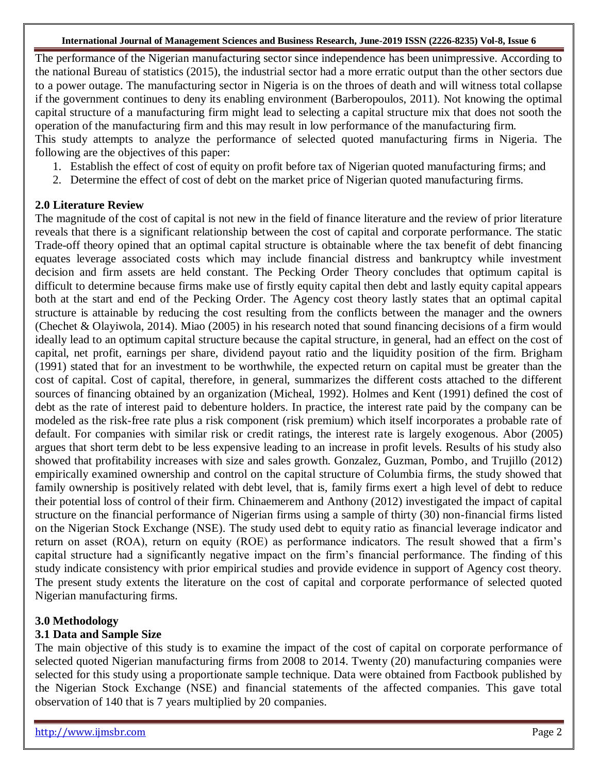The performance of the Nigerian manufacturing sector since independence has been unimpressive. According to the national Bureau of statistics (2015), the industrial sector had a more erratic output than the other sectors due to a power outage. The manufacturing sector in Nigeria is on the throes of death and will witness total collapse if the government continues to deny its enabling environment (Barberopoulos, 2011). Not knowing the optimal capital structure of a manufacturing firm might lead to selecting a capital structure mix that does not sooth the operation of the manufacturing firm and this may result in low performance of the manufacturing firm. This study attempts to analyze the performance of selected quoted manufacturing firms in Nigeria. The following are the objectives of this paper:

- 1. Establish the effect of cost of equity on profit before tax of Nigerian quoted manufacturing firms; and
- 2. Determine the effect of cost of debt on the market price of Nigerian quoted manufacturing firms.

# **2.0 Literature Review**

The magnitude of the cost of capital is not new in the field of finance literature and the review of prior literature reveals that there is a significant relationship between the cost of capital and corporate performance. The static Trade-off theory opined that an optimal capital structure is obtainable where the tax benefit of debt financing equates leverage associated costs which may include financial distress and bankruptcy while investment decision and firm assets are held constant. The Pecking Order Theory concludes that optimum capital is difficult to determine because firms make use of firstly equity capital then debt and lastly equity capital appears both at the start and end of the Pecking Order. The Agency cost theory lastly states that an optimal capital structure is attainable by reducing the cost resulting from the conflicts between the manager and the owners (Chechet & Olayiwola, 2014). Miao (2005) in his research noted that sound financing decisions of a firm would ideally lead to an optimum capital structure because the capital structure, in general, had an effect on the cost of capital, net profit, earnings per share, dividend payout ratio and the liquidity position of the firm. Brigham (1991) stated that for an investment to be worthwhile, the expected return on capital must be greater than the cost of capital. Cost of capital, therefore, in general, summarizes the different costs attached to the different sources of financing obtained by an organization (Micheal, 1992). Holmes and Kent (1991) defined the cost of debt as the rate of interest paid to debenture holders. In practice, the interest rate paid by the company can be modeled as the risk-free rate plus a risk component (risk premium) which itself incorporates a probable rate of default. For companies with similar risk or credit ratings, the interest rate is largely exogenous. Abor (2005) argues that short term debt to be less expensive leading to an increase in profit levels. Results of his study also showed that profitability increases with size and sales growth. Gonzalez, Guzman, Pombo, and Trujillo (2012) empirically examined ownership and control on the capital structure of Columbia firms, the study showed that family ownership is positively related with debt level, that is, family firms exert a high level of debt to reduce their potential loss of control of their firm. Chinaemerem and Anthony (2012) investigated the impact of capital structure on the financial performance of Nigerian firms using a sample of thirty (30) non-financial firms listed on the Nigerian Stock Exchange (NSE). The study used debt to equity ratio as financial leverage indicator and return on asset (ROA), return on equity (ROE) as performance indicators. The result showed that a firm's capital structure had a significantly negative impact on the firm's financial performance. The finding of this study indicate consistency with prior empirical studies and provide evidence in support of Agency cost theory. The present study extents the literature on the cost of capital and corporate performance of selected quoted Nigerian manufacturing firms.

# **3.0 Methodology**

# **3.1 Data and Sample Size**

The main objective of this study is to examine the impact of the cost of capital on corporate performance of selected quoted Nigerian manufacturing firms from 2008 to 2014. Twenty (20) manufacturing companies were selected for this study using a proportionate sample technique. Data were obtained from Factbook published by the Nigerian Stock Exchange (NSE) and financial statements of the affected companies. This gave total observation of 140 that is 7 years multiplied by 20 companies.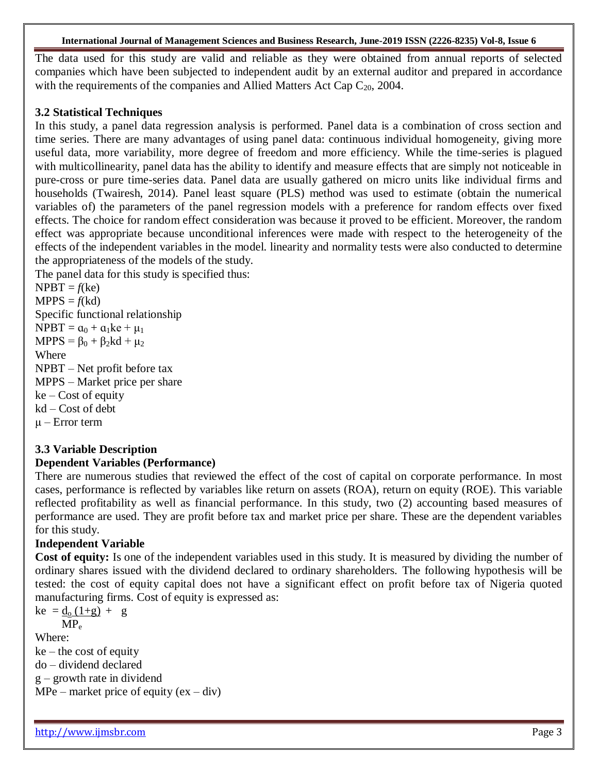#### **International Journal of Management Sciences and Business Research, June-2019 ISSN (2226-8235) Vol-8, Issue 6**

The data used for this study are valid and reliable as they were obtained from annual reports of selected companies which have been subjected to independent audit by an external auditor and prepared in accordance with the requirements of the companies and Allied Matters Act Cap  $C_{20}$ , 2004.

## **3.2 Statistical Techniques**

In this study, a panel data regression analysis is performed. Panel data is a combination of cross section and time series. There are many advantages of using panel data: continuous individual homogeneity, giving more useful data, more variability, more degree of freedom and more efficiency. While the time-series is plagued with multicollinearity, panel data has the ability to identify and measure effects that are simply not noticeable in pure-cross or pure time-series data. Panel data are usually gathered on micro units like individual firms and households (Twairesh, 2014). Panel least square (PLS) method was used to estimate (obtain the numerical variables of) the parameters of the panel regression models with a preference for random effects over fixed effects. The choice for random effect consideration was because it proved to be efficient. Moreover, the random effect was appropriate because unconditional inferences were made with respect to the heterogeneity of the effects of the independent variables in the model. linearity and normality tests were also conducted to determine the appropriateness of the models of the study.

The panel data for this study is specified thus:

 $N$ PBT =  $f$ (ke)  $MPPS = f(kd)$ Specific functional relationship  $N$ PBT =  $a_0 + a_1$ ke +  $\mu_1$  $MPPS = \beta_0 + \beta_2kd + \mu_2$ Where NPBT – Net profit before tax MPPS – Market price per share  $ke - Cost of equity$ kd – Cost of debt μ – Error term

# **3.3 Variable Description**

# **Dependent Variables (Performance)**

There are numerous studies that reviewed the effect of the cost of capital on corporate performance. In most cases, performance is reflected by variables like return on assets (ROA), return on equity (ROE). This variable reflected profitability as well as financial performance. In this study, two (2) accounting based measures of performance are used. They are profit before tax and market price per share. These are the dependent variables for this study.

## **Independent Variable**

**Cost of equity:** Is one of the independent variables used in this study. It is measured by dividing the number of ordinary shares issued with the dividend declared to ordinary shareholders. The following hypothesis will be tested: the cost of equity capital does not have a significant effect on profit before tax of Nigeria quoted manufacturing firms. Cost of equity is expressed as:

$$
\text{ke} = \frac{\text{d}_{\text{o}}(1+\text{g})}{\text{MP}_{\text{e}}} + \text{g}
$$

Where:

 $ke$  – the cost of equity do – dividend declared g – growth rate in dividend MPe – market price of equity  $(ex - div)$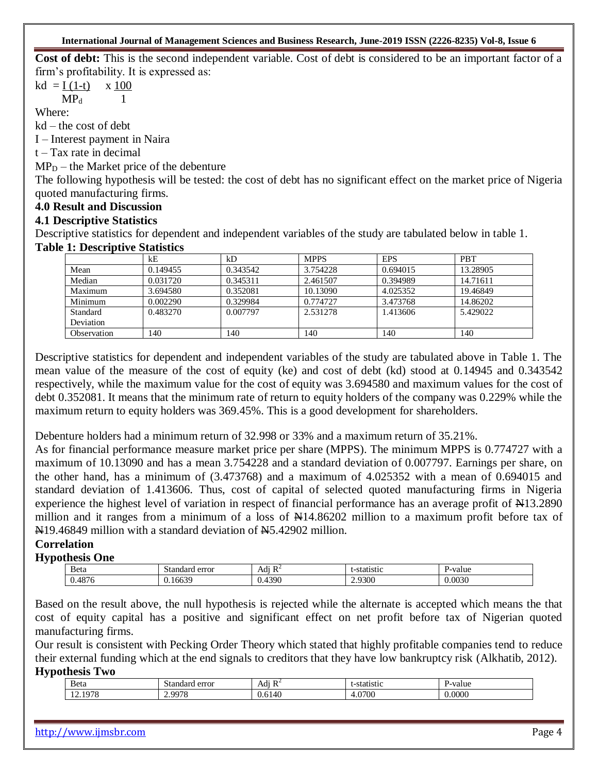**Cost of debt:** This is the second independent variable. Cost of debt is considered to be an important factor of a firm's profitability. It is expressed as:

 $kd = I (1-t)$  x 100

 $MP<sub>d</sub>$  1

Where:

kd – the cost of debt

I – Interest payment in Naira

 $t - Tax$  rate in decimal

 $MP_D$  – the Market price of the debenture

The following hypothesis will be tested: the cost of debt has no significant effect on the market price of Nigeria quoted manufacturing firms.

## **4.0 Result and Discussion**

## **4.1 Descriptive Statistics**

Descriptive statistics for dependent and independent variables of the study are tabulated below in table 1. **Table 1: Descriptive Statistics** 

|             | kE       | kD       | <b>MPPS</b> | <b>EPS</b> | <b>PBT</b> |
|-------------|----------|----------|-------------|------------|------------|
| Mean        | 0.149455 | 0.343542 | 3.754228    | 0.694015   | 13.28905   |
| Median      | 0.031720 | 0.345311 | 2.461507    | 0.394989   | 14.71611   |
| Maximum     | 3.694580 | 0.352081 | 10.13090    | 4.025352   | 19.46849   |
| Minimum     | 0.002290 | 0.329984 | 0.774727    | 3.473768   | 14.86202   |
| Standard    | 0.483270 | 0.007797 | 2.531278    | 1.413606   | 5.429022   |
| Deviation   |          |          |             |            |            |
| Observation | 140      | 140      | 140         | 140        | 140        |

Descriptive statistics for dependent and independent variables of the study are tabulated above in Table 1. The mean value of the measure of the cost of equity (ke) and cost of debt (kd) stood at 0.14945 and 0.343542 respectively, while the maximum value for the cost of equity was 3.694580 and maximum values for the cost of debt 0.352081. It means that the minimum rate of return to equity holders of the company was 0.229% while the maximum return to equity holders was 369.45%. This is a good development for shareholders.

Debenture holders had a minimum return of 32.998 or 33% and a maximum return of 35.21%.

As for financial performance measure market price per share (MPPS). The minimum MPPS is 0.774727 with a maximum of 10.13090 and has a mean 3.754228 and a standard deviation of 0.007797. Earnings per share, on the other hand, has a minimum of (3.473768) and a maximum of 4.025352 with a mean of 0.694015 and standard deviation of 1.413606. Thus, cost of capital of selected quoted manufacturing firms in Nigeria experience the highest level of variation in respect of financial performance has an average profit of  $\text{H}13.2890$ million and it ranges from a minimum of a loss of  $\frac{144.86202}{11100}$  million to a maximum profit before tax of N19.46849 million with a standard deviation of N5.42902 million.

## **Correlation**

## **Hypothesis One**

| Beta | error<br>doro | $\mathbf{D}$<br>Adı<br>$\overline{\mathbf{v}}$ | statistit | '-value<br>. . |
|------|---------------|------------------------------------------------|-----------|----------------|
| AOZ  | $\sim$<br>663 | .390                                           | 2.9300    | 0.0030         |
|      |               |                                                |           |                |

Based on the result above, the null hypothesis is rejected while the alternate is accepted which means the that cost of equity capital has a positive and significant effect on net profit before tax of Nigerian quoted manufacturing firms.

Our result is consistent with Pecking Order Theory which stated that highly profitable companies tend to reduce their external funding which at the end signals to creditors that they have low bankruptcy risk (Alkhatib, 2012). **Hypothesis Two** 

| Beta               | $\alpha$ man $\alpha$<br>ച്ച<br>еног | $\cdot$<br>$\overline{\phantom{a}}$<br>Ad1<br>л | 5119                        | ''-valu∈ |
|--------------------|--------------------------------------|-------------------------------------------------|-----------------------------|----------|
| 070<br><br>14.1710 | 0075<br>.<br>.                       | .                                               | 0.700<br>w<br>$\cdot \cdot$ | 0000.0   |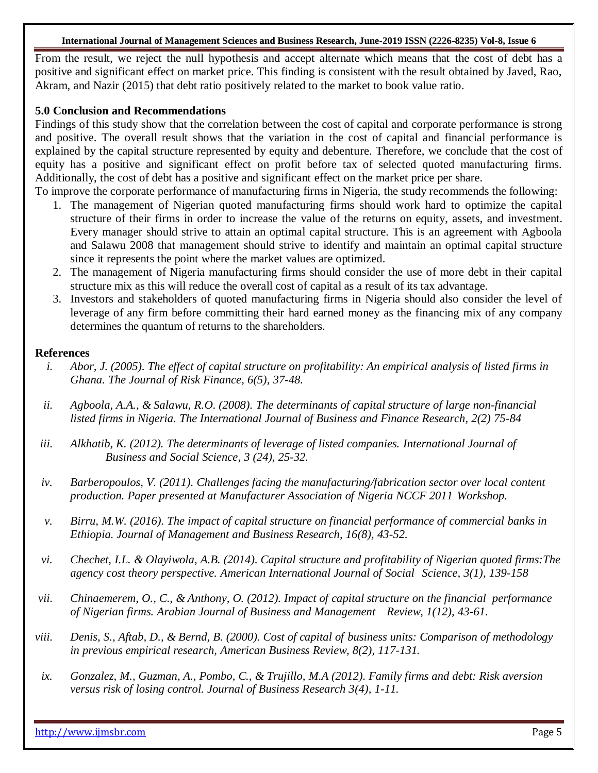#### **International Journal of Management Sciences and Business Research, June-2019 ISSN (2226-8235) Vol-8, Issue 6**

From the result, we reject the null hypothesis and accept alternate which means that the cost of debt has a positive and significant effect on market price. This finding is consistent with the result obtained by Javed, Rao, Akram, and Nazir (2015) that debt ratio positively related to the market to book value ratio.

#### **5.0 Conclusion and Recommendations**

Findings of this study show that the correlation between the cost of capital and corporate performance is strong and positive. The overall result shows that the variation in the cost of capital and financial performance is explained by the capital structure represented by equity and debenture. Therefore, we conclude that the cost of equity has a positive and significant effect on profit before tax of selected quoted manufacturing firms. Additionally, the cost of debt has a positive and significant effect on the market price per share.

- To improve the corporate performance of manufacturing firms in Nigeria, the study recommends the following: 1. The management of Nigerian quoted manufacturing firms should work hard to optimize the capital structure of their firms in order to increase the value of the returns on equity, assets, and investment. Every manager should strive to attain an optimal capital structure. This is an agreement with Agboola and Salawu 2008 that management should strive to identify and maintain an optimal capital structure since it represents the point where the market values are optimized.
	- 2. The management of Nigeria manufacturing firms should consider the use of more debt in their capital structure mix as this will reduce the overall cost of capital as a result of its tax advantage.
	- 3. Investors and stakeholders of quoted manufacturing firms in Nigeria should also consider the level of leverage of any firm before committing their hard earned money as the financing mix of any company determines the quantum of returns to the shareholders.

#### **References**

- *i. Abor, J. (2005). The effect of capital structure on profitability: An empirical analysis of listed firms in Ghana. The Journal of Risk Finance, 6(5), 37-48.*
- *ii. Agboola, A.A., & Salawu, R.O. (2008). The determinants of capital structure of large non-financial listed firms in Nigeria. The International Journal of Business and Finance Research, 2(2) 75-84*
- *iii. Alkhatib, K. (2012). The determinants of leverage of listed companies. International Journal of Business and Social Science, 3 (24), 25-32.*
- *iv. Barberopoulos, V. (2011). Challenges facing the manufacturing/fabrication sector over local content production. Paper presented at Manufacturer Association of Nigeria NCCF 2011 Workshop.*
- *v. Birru, M.W. (2016). The impact of capital structure on financial performance of commercial banks in Ethiopia. Journal of Management and Business Research, 16(8), 43-52.*
- *vi. Chechet, I.L. & Olayiwola, A.B. (2014). Capital structure and profitability of Nigerian quoted firms:The agency cost theory perspective. American International Journal of Social Science, 3(1), 139-158*
- *vii. Chinaemerem, O., C., & Anthony, O. (2012). Impact of capital structure on the financial performance of Nigerian firms. Arabian Journal of Business and Management Review, 1(12), 43-61.*
- *viii. Denis, S., Aftab, D., & Bernd, B. (2000). Cost of capital of business units: Comparison of methodology in previous empirical research, American Business Review, 8(2), 117-131.*
- *ix. Gonzalez, M., Guzman, A., Pombo, C., & Trujillo, M.A (2012). Family firms and debt: Risk aversion versus risk of losing control. Journal of Business Research 3(4), 1-11.*